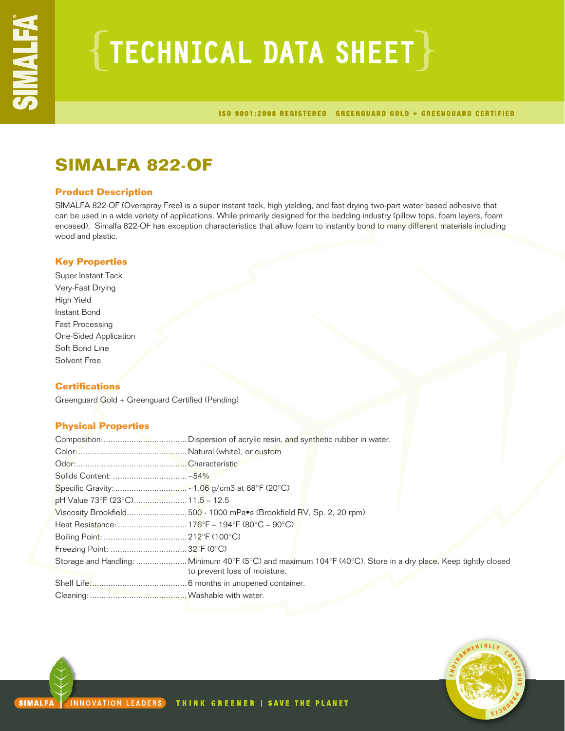# $\{$  TECHNICAL DATA SHEET  $\}$

ISO 9001:2008 REGISTERED | GREENGUARD GOLD + GREENGUARD CERTIFIED

### **SIMALFA 822-OF**

### **Product Description**

SIMALFA 822-OF {Overspray Free} is a super instant tack, high yielding, and fast drying two-part water based adhesive that can be used in a wide variety of applications. While primarily designed for the bedding industry (pillow tops, foam layers, foam encased), Simalfa 822-OF has exception characteristics that allow foam to instantly bond to many different materials including wood and plastic.

### **Key Properties**

Super Instant Tack Very-Fast Drying High Yield Instant Bond Fast Processing One-Sided Application Soft Bond Line Solvent Free

### **Certifications**

Greenguard Gold + Greenguard Certified (Pending)

### **Physical Properties**

| pH Value 73°F (23°C) 11.5 - 12.5 |                                                                     |
|----------------------------------|---------------------------------------------------------------------|
|                                  | Viscosity Brookfield500 - 1000 mPa.s (Brookfield RV, Sp. 2, 20 rpm) |
|                                  |                                                                     |
|                                  |                                                                     |
|                                  |                                                                     |
|                                  | to prevent loss of moisture.                                        |
|                                  |                                                                     |
|                                  |                                                                     |

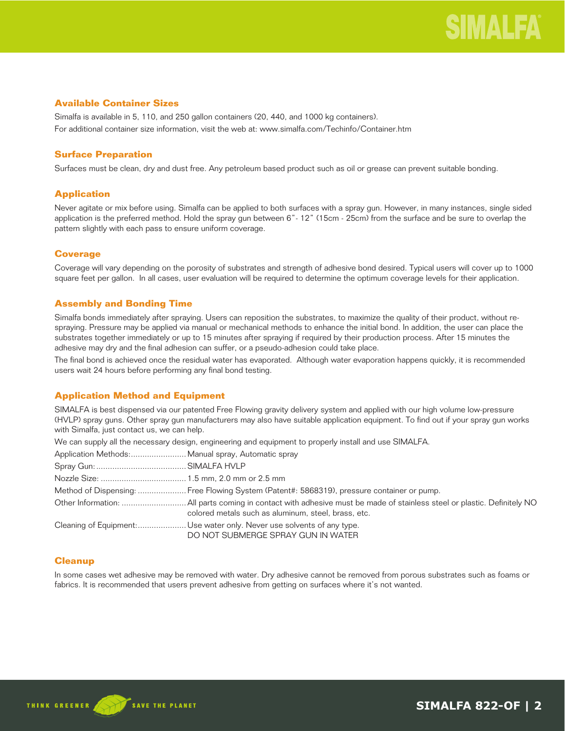### **Available Container Sizes**

Simalfa is available in 5, 110, and 250 gallon containers (20, 440, and 1000 kg containers). For additional container size information, visit the web at: www.simalfa.com/Techinfo/Container.htm

### **Surface Preparation**

Surfaces must be clean, dry and dust free. Any petroleum based product such as oil or grease can prevent suitable bonding.

### **Application**

Never agitate or mix before using. Simalfa can be applied to both surfaces with a spray gun. However, in many instances, single sided application is the preferred method. Hold the spray gun between 6"- 12" (15cm - 25cm) from the surface and be sure to overlap the pattern slightly with each pass to ensure uniform coverage.

### **Coverage**

Coverage will vary depending on the porosity of substrates and strength of adhesive bond desired. Typical users will cover up to 1000 square feet per gallon. In all cases, user evaluation will be required to determine the optimum coverage levels for their application.

### **Assembly and Bonding Time**

Simalfa bonds immediately after spraying. Users can reposition the substrates, to maximize the quality of their product, without respraying. Pressure may be applied via manual or mechanical methods to enhance the initial bond. In addition, the user can place the substrates together immediately or up to 15 minutes after spraying if required by their production process. After 15 minutes the adhesive may dry and the final adhesion can suffer, or a pseudo-adhesion could take place.

The final bond is achieved once the residual water has evaporated. Although water evaporation happens quickly, it is recommended users wait 24 hours before performing any final bond testing.

### **Application Method and Equipment**

SIMALFA is best dispensed via our patented Free Flowing gravity delivery system and applied with our high volume low-pressure (HVLP) spray guns. Other spray gun manufacturers may also have suitable application equipment. To find out if your spray gun works with Simalfa, just contact us, we can help.

We can supply all the necessary design, engineering and equipment to properly install and use SIMALFA.

| The call supply all the hecessary design, engineering and equipment to properly install and use OliviALI A.  |
|--------------------------------------------------------------------------------------------------------------|
| Application Methods: Manual spray, Automatic spray                                                           |
|                                                                                                              |
|                                                                                                              |
| Method of Dispensing:  Free Flowing System (Patent#: 5868319), pressure container or pump.                   |
| colored metals such as aluminum, steel, brass, etc.                                                          |
| Cleaning of Equipment: Use water only. Never use solvents of any type.<br>DO NOT SUBMERGE SPRAY GUN IN WATER |

### **Cleanup**

In some cases wet adhesive may be removed with water. Dry adhesive cannot be removed from porous substrates such as foams or fabrics. It is recommended that users prevent adhesive from getting on surfaces where it's not wanted.

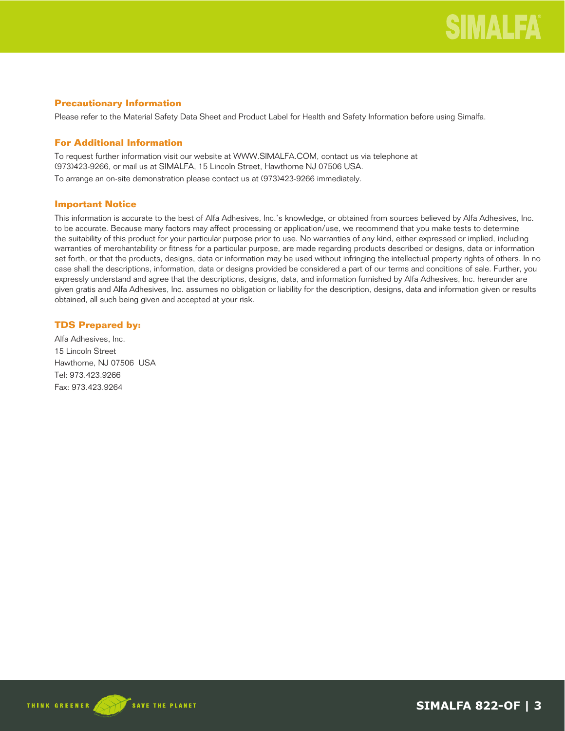### **Precautionary Information**

Please refer to the Material Safety Data Sheet and Product Label for Health and Safety Information before using Simalfa.

### **For Additional Information**

To request further information visit our website at WWW.SIMALFA.COM, contact us via telephone at (973)423-9266, or mail us at SIMALFA, 15 Lincoln Street, Hawthorne NJ 07506 USA. To arrange an on-site demonstration please contact us at (973)423-9266 immediately.

### **Important Notice**

This information is accurate to the best of Alfa Adhesives, Inc.'s knowledge, or obtained from sources believed by Alfa Adhesives, Inc. to be accurate. Because many factors may affect processing or application/use, we recommend that you make tests to determine the suitability of this product for your particular purpose prior to use. No warranties of any kind, either expressed or implied, including warranties of merchantability or fitness for a particular purpose, are made regarding products described or designs, data or information set forth, or that the products, designs, data or information may be used without infringing the intellectual property rights of others. In no case shall the descriptions, information, data or designs provided be considered a part of our terms and conditions of sale. Further, you expressly understand and agree that the descriptions, designs, data, and information furnished by Alfa Adhesives, Inc. hereunder are given gratis and Alfa Adhesives, Inc. assumes no obligation or liability for the description, designs, data and information given or results obtained, all such being given and accepted at your risk.

### **TDS Prepared by:**

Alfa Adhesives, Inc. 15 Lincoln Street Hawthorne, NJ 07506 USA Tel: 973.423.9266 Fax: 973.423.9264

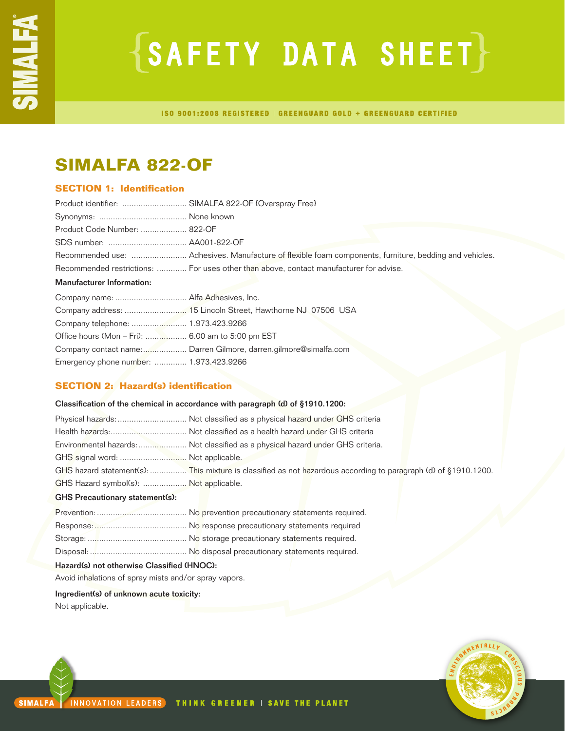# $\{SAFFITY$  DATA SHEET $\}$

ISO 9001:2008 REGISTERED | GREENGUARD GOLD + GREENGUARD CERTIFIED

### **SIMALFA 822-OF**

### **SECTION 1: Identification**

| Product identifier:  SIMALFA 822-OF {Overspray Free} |                                                                                                        |
|------------------------------------------------------|--------------------------------------------------------------------------------------------------------|
|                                                      |                                                                                                        |
| Product Code Number:  822-OF                         |                                                                                                        |
|                                                      |                                                                                                        |
|                                                      | Recommended use:  Adhesives. Manufacture of flexible foam components, furniture, bedding and vehicles. |
|                                                      | Recommended restrictions:  For uses other than above, contact manufacturer for advise.                 |
| <b>Manufacturer Information:</b>                     |                                                                                                        |
| Company name:  Alfa Adhesives, Inc.                  |                                                                                                        |
|                                                      |                                                                                                        |
| Company telephone:  1.973.423.9266                   |                                                                                                        |
|                                                      |                                                                                                        |

| Office hours (Mon – Fri):  6.00 am to 5:00 pm EST |                                                                  |
|---------------------------------------------------|------------------------------------------------------------------|
|                                                   | Company contact name: Darren Gilmore, darren.gilmore@simalfa.com |
| Emergency phone number:  1.973.423.9266           |                                                                  |

### **SECTION 2: Hazard(s) identification**

### Classification of the chemical in accordance with paragraph (d) of §1910.1200:

|                                        | Environmental hazards: Not classified as a physical hazard under GHS criteria.                                  |
|----------------------------------------|-----------------------------------------------------------------------------------------------------------------|
| GHS signal word:  Not applicable.      |                                                                                                                 |
|                                        | GHS hazard statement(s):  This mixture is classified as not hazardous according to paragraph (d) of §1910.1200. |
| GHS Hazard symbol(s):  Not applicable. |                                                                                                                 |

### GHS Precautionary statement(s):

| Hazard(s) not otherwise Classified (HNOC): |  |  |
|--------------------------------------------|--|--|

Avoid inhalations of spray mists and/or spray vapors.

Ingredient(s) of unknown acute toxicity: Not applicable.

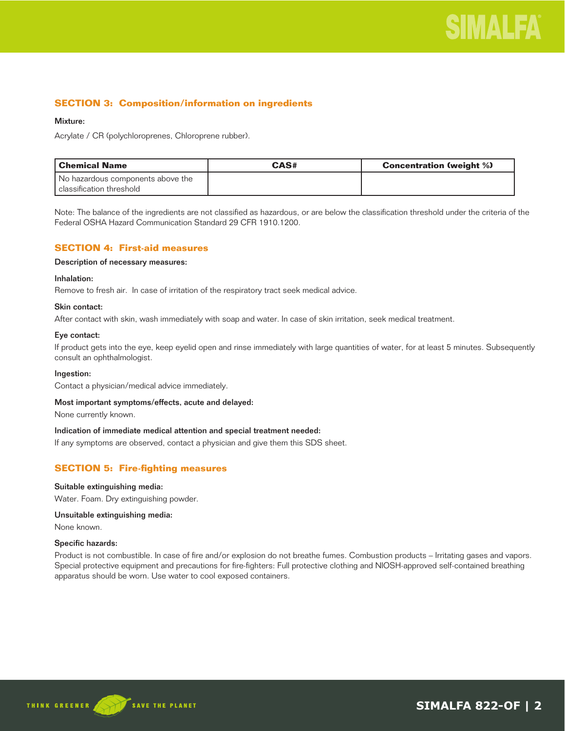### **SECTION 3: Composition/information on ingredients**

### Mixture:

Acrylate / CR (polychloroprenes, Chloroprene rubber).

| Chemical Name                                                 | CAS# | <b>Concentration (weight %)</b> |
|---------------------------------------------------------------|------|---------------------------------|
| No hazardous components above the<br>classification threshold |      |                                 |

Note: The balance of the ingredients are not classified as hazardous, or are below the classification threshold under the criteria of the Federal OSHA Hazard Communication Standard 29 CFR 1910.1200.

### **SECTION 4: First-aid measures**

### Description of necessary measures:

### Inhalation:

Remove to fresh air. In case of irritation of the respiratory tract seek medical advice.

### Skin contact:

After contact with skin, wash immediately with soap and water. In case of skin irritation, seek medical treatment.

### Eye contact:

If product gets into the eye, keep eyelid open and rinse immediately with large quantities of water, for at least 5 minutes. Subsequently consult an ophthalmologist.

### Ingestion:

Contact a physician/medical advice immediately.

### Most important symptoms/effects, acute and delayed:

None currently known.

### Indication of immediate medical attention and special treatment needed:

If any symptoms are observed, contact a physician and give them this SDS sheet.

### **SECTION 5: Fire-fighting measures**

### Suitable extinguishing media:

Water. Foam. Dry extinguishing powder.

### Unsuitable extinguishing media:

None known.

### Specific hazards:

Product is not combustible. In case of fire and/or explosion do not breathe fumes. Combustion products – Irritating gases and vapors. Special protective equipment and precautions for fire-fighters: Full protective clothing and NIOSH-approved self-contained breathing apparatus should be worn. Use water to cool exposed containers.



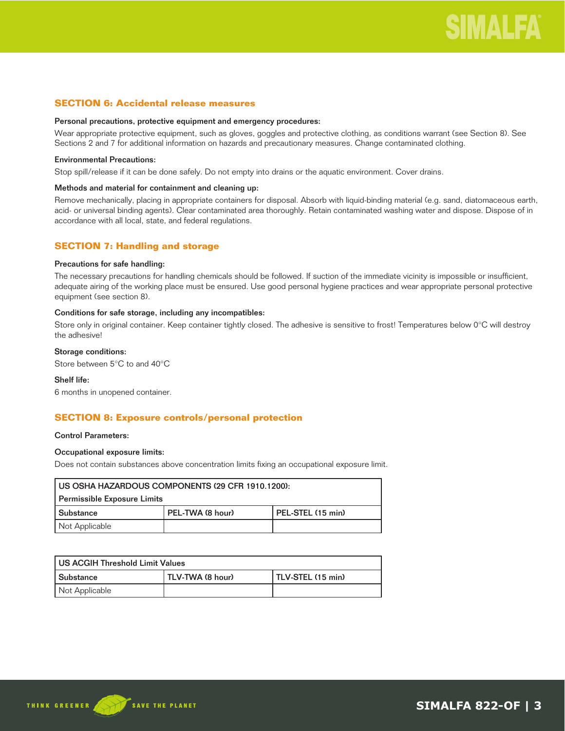### **SECTION 6: Accidental release measures**

### Personal precautions, protective equipment and emergency procedures:

Wear appropriate protective equipment, such as gloves, goggles and protective clothing, as conditions warrant (see Section 8). See Sections 2 and 7 for additional information on hazards and precautionary measures. Change contaminated clothing.

### Environmental Precautions:

Stop spill/release if it can be done safely. Do not empty into drains or the aquatic environment. Cover drains.

### Methods and material for containment and cleaning up:

Remove mechanically, placing in appropriate containers for disposal. Absorb with liquid-binding material (e.g. sand, diatomaceous earth, acid- or universal binding agents). Clear contaminated area thoroughly. Retain contaminated washing water and dispose. Dispose of in accordance with all local, state, and federal regulations.

### **SECTION 7: Handling and storage**

### Precautions for safe handling:

The necessary precautions for handling chemicals should be followed. If suction of the immediate vicinity is impossible or insufficient, adequate airing of the working place must be ensured. Use good personal hygiene practices and wear appropriate personal protective equipment (see section 8).

### Conditions for safe storage, including any incompatibles:

Store only in original container. Keep container tightly closed. The adhesive is sensitive to frost! Temperatures below 0°C will destroy the adhesive!

### Storage conditions:

Store between 5°C to and 40°C

### Shelf life:

6 months in unopened container.

### **SECTION 8: Exposure controls/personal protection**

### Control Parameters:

### Occupational exposure limits:

Does not contain substances above concentration limits fixing an occupational exposure limit.

| US OSHA HAZARDOUS COMPONENTS (29 CFR 1910.1200): |                  |                   |
|--------------------------------------------------|------------------|-------------------|
| Permissible Exposure Limits                      |                  |                   |
| l Substance                                      | PEL-TWA (8 hour) | PEL-STEL (15 min) |
| Not Applicable                                   |                  |                   |

| US ACGIH Threshold Limit Values |                  |                   |
|---------------------------------|------------------|-------------------|
| l Substance                     | TLV-TWA (8 hour) | TLV-STEL (15 min) |
| Not Applicable                  |                  |                   |

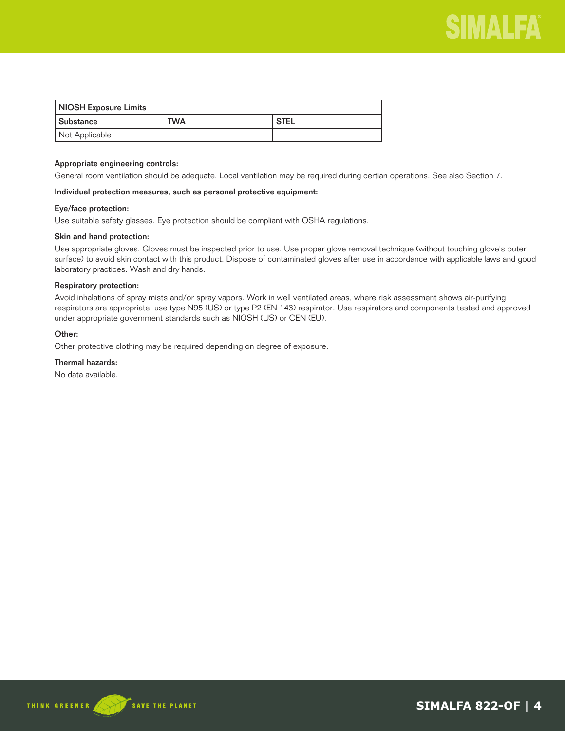

| NIOSH Exposure Limits |            |        |
|-----------------------|------------|--------|
| l Substance           | <b>TWA</b> | ' STEL |
| Not Applicable        |            |        |

### Appropriate engineering controls:

General room ventilation should be adequate. Local ventilation may be required during certian operations. See also Section 7.

### Individual protection measures, such as personal protective equipment:

### Eye/face protection:

Use suitable safety glasses. Eye protection should be compliant with OSHA regulations.

### Skin and hand protection:

Use appropriate gloves. Gloves must be inspected prior to use. Use proper glove removal technique (without touching glove's outer surface) to avoid skin contact with this product. Dispose of contaminated gloves after use in accordance with applicable laws and good laboratory practices. Wash and dry hands.

### Respiratory protection:

Avoid inhalations of spray mists and/or spray vapors. Work in well ventilated areas, where risk assessment shows air-purifying respirators are appropriate, use type N95 (US) or type P2 (EN 143) respirator. Use respirators and components tested and approved under appropriate government standards such as NIOSH (US) or CEN (EU).

### Other:

Other protective clothing may be required depending on degree of exposure.

### Thermal hazards:

No data available.



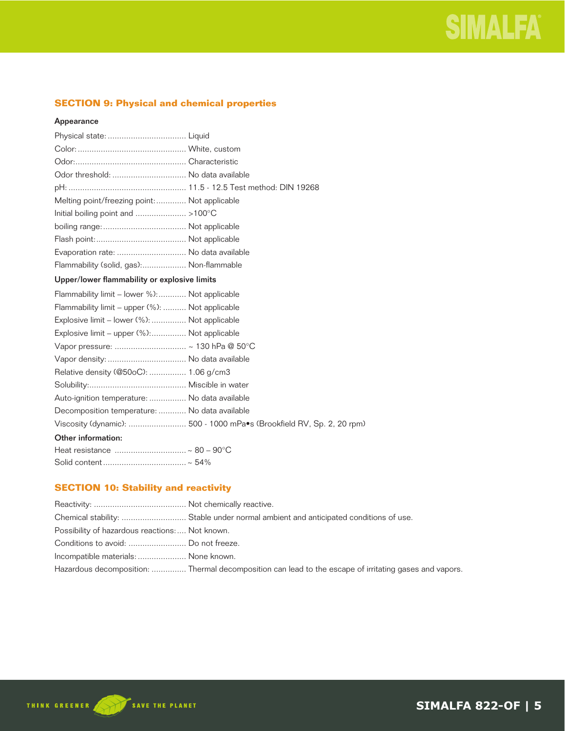### **SECTION 9: Physical and chemical properties**

### Appearance

| Odor threshold:  No data available              |                                                                       |
|-------------------------------------------------|-----------------------------------------------------------------------|
|                                                 |                                                                       |
| Melting point/freezing point:  Not applicable   |                                                                       |
|                                                 |                                                                       |
|                                                 |                                                                       |
|                                                 |                                                                       |
| Evaporation rate:  No data available            |                                                                       |
| Flammability (solid, gas): Non-flammable        |                                                                       |
| Upper/lower flammability or explosive limits    |                                                                       |
| Flammability limit – lower %): Not applicable   |                                                                       |
| Flammability limit – upper (%):  Not applicable |                                                                       |
| Explosive limit - lower (%):  Not applicable    |                                                                       |
| Explosive limit – upper (%): Not applicable     |                                                                       |
|                                                 |                                                                       |
|                                                 |                                                                       |
| Relative density (@50oC):  1.06 g/cm3           |                                                                       |
|                                                 |                                                                       |
| Auto-ignition temperature:  No data available   |                                                                       |
| Decomposition temperature:  No data available   |                                                                       |
|                                                 | Viscosity (dynamic):  500 - 1000 mPa.s (Brookfield RV, Sp. 2, 20 rpm) |
| Other information:                              |                                                                       |
| Heat resistance  ~ 80 - 90°C                    |                                                                       |

### **SECTION 10: Stability and reactivity**

| Possibility of hazardous reactions: Not known. |                                                                                                        |
|------------------------------------------------|--------------------------------------------------------------------------------------------------------|
|                                                |                                                                                                        |
| Incompatible materials:  None known.           |                                                                                                        |
|                                                | Hazardous decomposition:  Thermal decomposition can lead to the escape of irritating gases and vapors. |

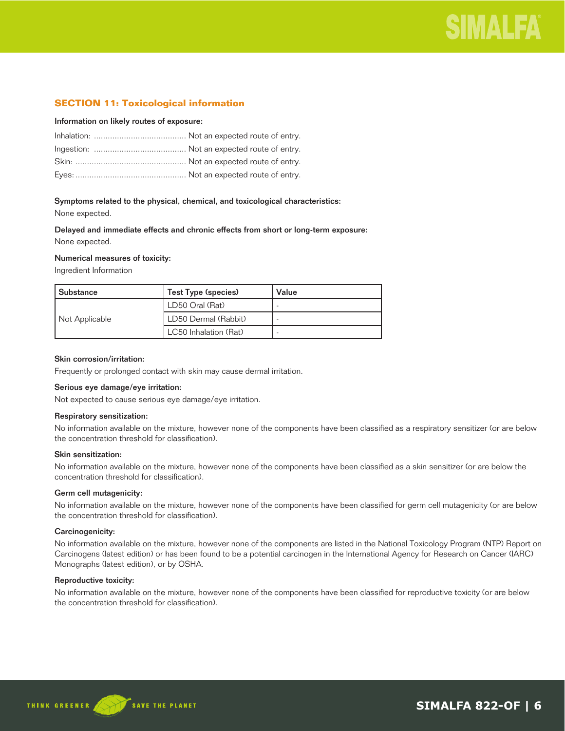### **SECTION 11: Toxicological information**

### Information on likely routes of exposure:

### Symptoms related to the physical, chemical, and toxicological characteristics:

None expected.

Delayed and immediate effects and chronic effects from short or long-term exposure: None expected.

### Numerical measures of toxicity:

Ingredient Information

| l Substance    | Test Type (species)   | Value |
|----------------|-----------------------|-------|
| Not Applicable | LD50 Oral (Rat)       |       |
|                | LD50 Dermal (Rabbit)  |       |
|                | LC50 Inhalation (Rat) |       |

### Skin corrosion/irritation:

Frequently or prolonged contact with skin may cause dermal irritation.

### Serious eye damage/eye irritation:

Not expected to cause serious eye damage/eye irritation.

### Respiratory sensitization:

No information available on the mixture, however none of the components have been classified as a respiratory sensitizer (or are below the concentration threshold for classification).

### Skin sensitization:

No information available on the mixture, however none of the components have been classified as a skin sensitizer (or are below the concentration threshold for classification).

### Germ cell mutagenicity:

No information available on the mixture, however none of the components have been classified for germ cell mutagenicity (or are below the concentration threshold for classification).

### Carcinogenicity:

No information available on the mixture, however none of the components are listed in the National Toxicology Program (NTP) Report on Carcinogens (latest edition) or has been found to be a potential carcinogen in the International Agency for Research on Cancer (IARC) Monographs (latest edition), or by OSHA.

### Reproductive toxicity:

No information available on the mixture, however none of the components have been classified for reproductive toxicity (or are below the concentration threshold for classification).

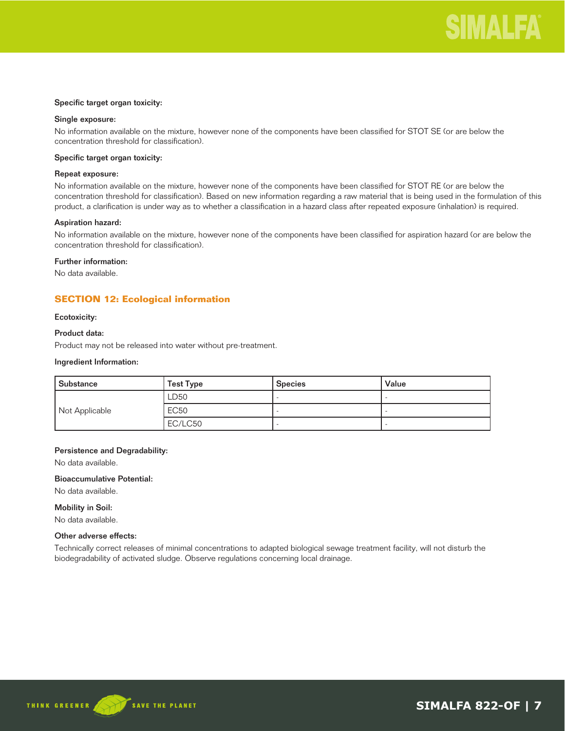### Specific target organ toxicity:

### Single exposure:

No information available on the mixture, however none of the components have been classified for STOT SE (or are below the concentration threshold for classification).

### Specific target organ toxicity:

### Repeat exposure:

No information available on the mixture, however none of the components have been classified for STOT RE (or are below the concentration threshold for classification). Based on new information regarding a raw material that is being used in the formulation of this product, a clarification is under way as to whether a classification in a hazard class after repeated exposure (inhalation) is required.

### Aspiration hazard:

No information available on the mixture, however none of the components have been classified for aspiration hazard (or are below the concentration threshold for classification).

### Further information:

No data available.

### **SECTION 12: Ecological information**

### Ecotoxicity:

### Product data:

Product may not be released into water without pre-treatment.

#### Ingredient Information:

| Substance      | <b>Test Type</b> | <b>Species</b> | Value |
|----------------|------------------|----------------|-------|
|                | LD50             |                |       |
| Not Applicable | <b>EC50</b>      |                |       |
|                | EC/LC50          |                |       |

### Persistence and Degradability:

No data available.

### Bioaccumulative Potential:

No data available.

### Mobility in Soil:

No data available.

### Other adverse effects:

Technically correct releases of minimal concentrations to adapted biological sewage treatment facility, will not disturb the biodegradability of activated sludge. Observe regulations concerning local drainage.



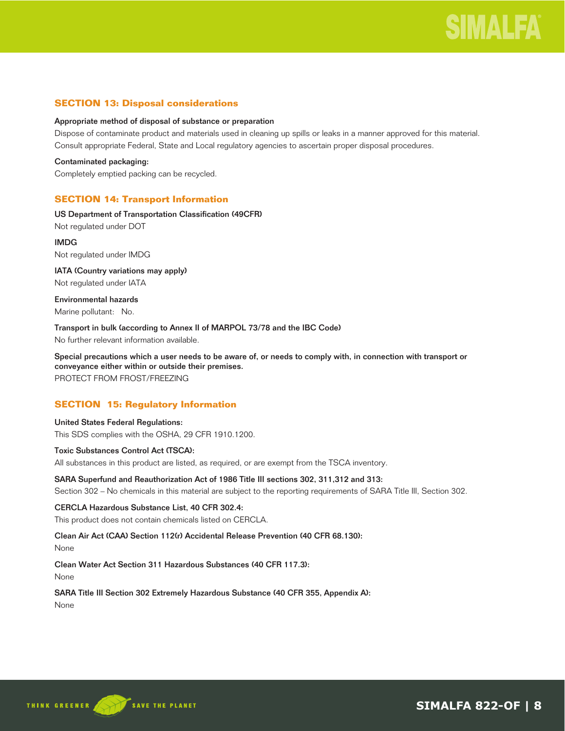### **SECTION 13: Disposal considerations**

### Appropriate method of disposal of substance or preparation

Dispose of contaminate product and materials used in cleaning up spills or leaks in a manner approved for this material. Consult appropriate Federal, State and Local regulatory agencies to ascertain proper disposal procedures.

Contaminated packaging: Completely emptied packing can be recycled.

### **SECTION 14: Transport Information**

US Department of Transportation Classification (49CFR) Not regulated under DOT

IMDG Not regulated under IMDG

IATA (Country variations may apply) Not regulated under IATA

Environmental hazards Marine pollutant: No.

Transport in bulk (according to Annex II of MARPOL 73/78 and the IBC Code) No further relevant information available.

Special precautions which a user needs to be aware of, or needs to comply with, in connection with transport or conveyance either within or outside their premises. PROTECT FROM FROST/FREEZING

### **SECTION 15: Regulatory Information**

### United States Federal Regulations:

This SDS complies with the OSHA, 29 CFR 1910.1200.

### Toxic Substances Control Act (TSCA):

All substances in this product are listed, as required, or are exempt from the TSCA inventory.

### SARA Superfund and Reauthorization Act of 1986 Title III sections 302, 311,312 and 313:

Section 302 – No chemicals in this material are subject to the reporting requirements of SARA Title III, Section 302.

### CERCLA Hazardous Substance List, 40 CFR 302.4:

This product does not contain chemicals listed on CERCLA.

### Clean Air Act (CAA) Section 112(r) Accidental Release Prevention (40 CFR 68.130):

None

Clean Water Act Section 311 Hazardous Substances (40 CFR 117.3):

None

SARA Title III Section 302 Extremely Hazardous Substance (40 CFR 355, Appendix A): None